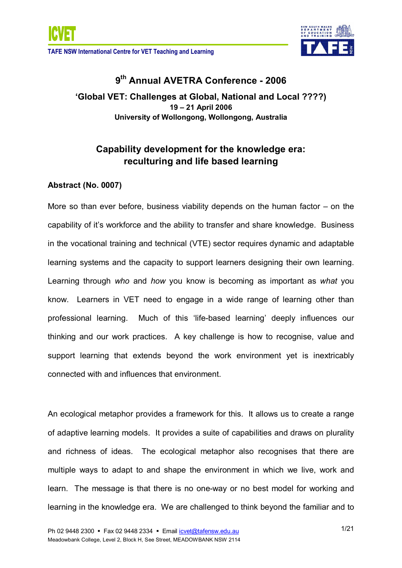

# **9 th Annual AVETRA Conference 2006**

**'Global VET: Challenges at Global, National and Local ????) 19 – 21 April 2006 University of Wollongong, Wollongong, Australia**

# **Capability development for the knowledge era: reculturing and life based learning**

# **Abstract (No. 0007)**

More so than ever before, business viability depends on the human factor – on the capability of it's workforce and the ability to transfer and share knowledge. Business in the vocational training and technical (VTE) sector requires dynamic and adaptable learning systems and the capacity to support learners designing their own learning. Learning through *who* and *how* you know is becoming as important as *what* you know. Learners in VET need to engage in a wide range of learning other than professional learning. Much of this 'life-based learning' deeply influences our thinking and our work practices. A key challenge is how to recognise, value and support learning that extends beyond the work environment yet is inextricably connected with and influences that environment.

An ecological metaphor provides a framework for this. It allows us to create a range of adaptive learning models. It provides a suite of capabilities and draws on plurality and richness of ideas. The ecological metaphor also recognises that there are multiple ways to adapt to and shape the environment in which we live, work and learn. The message is that there is no one-way or no best model for working and learning in the knowledge era. We are challenged to think beyond the familiar and to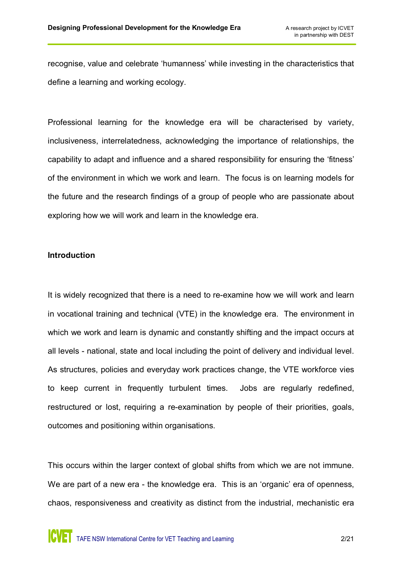recognise, value and celebrate 'humanness' while investing in the characteristics that define a learning and working ecology.

Professional learning for the knowledge era will be characterised by variety, inclusiveness, interrelatedness, acknowledging the importance of relationships, the capability to adapt and influence and a shared responsibility for ensuring the 'fitness' of the environment in which we work and learn. The focus is on learning models for the future and the research findings of a group of people who are passionate about exploring how we will work and learn in the knowledge era.

#### **Introduction**

It is widely recognized that there is a need to re-examine how we will work and learn in vocational training and technical (VTE) in the knowledge era. The environment in which we work and learn is dynamic and constantly shifting and the impact occurs at all levels - national, state and local including the point of delivery and individual level. As structures, policies and everyday work practices change, the VTE workforce vies to keep current in frequently turbulent times. Jobs are regularly redefined, restructured or lost, requiring a re-examination by people of their priorities, goals, outcomes and positioning within organisations.

This occurs within the larger context of global shifts from which we are not immune. We are part of a new era - the knowledge era. This is an 'organic' era of openness, chaos, responsiveness and creativity as distinct from the industrial, mechanistic era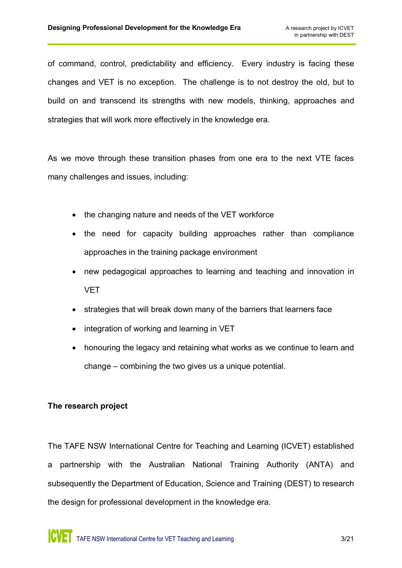of command, control, predictability and efficiency. Every industry is facing these changes and VET is no exception. The challenge is to not destroy the old, but to build on and transcend its strengths with new models, thinking, approaches and strategies that will work more effectively in the knowledge era.

As we move through these transition phases from one era to the next VTE faces many challenges and issues, including:

- the changing nature and needs of the VET workforce
- the need for capacity building approaches rather than compliance approaches in the training package environment
- · new pedagogical approaches to learning and teaching and innovation in VET
- · strategies that will break down many of the barriers that learners face
- integration of working and learning in VET
- honouring the legacy and retaining what works as we continue to learn and change – combining the two gives us a unique potential.

# **The research project**

The TAFE NSW International Centre for Teaching and Learning (ICVET) established a partnership with the Australian National Training Authority (ANTA) and subsequently the Department of Education, Science and Training (DEST) to research the design for professional development in the knowledge era.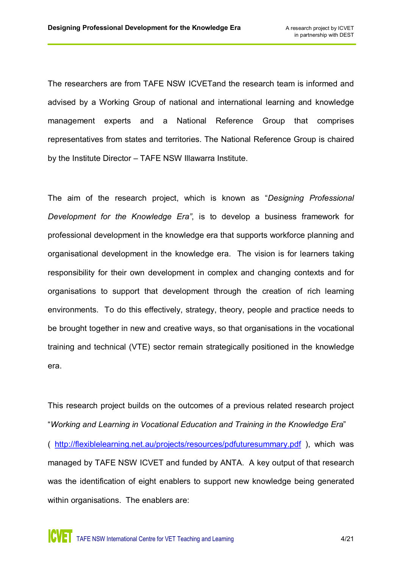The researchers are from TAFE NSW ICVETand the research team is informed and advised by a Working Group of national and international learning and knowledge management experts and a National Reference Group that comprises representatives from states and territories. The National Reference Group is chaired by the Institute Director – TAFE NSW Illawarra Institute.

The aim of the research project, which is known as "*Designing Professional Development for the Knowledge Era"*, is to develop a business framework for professional development in the knowledge era that supports workforce planning and organisational development in the knowledge era. The vision is for learners taking responsibility for their own development in complex and changing contexts and for organisations to support that development through the creation of rich learning environments. To do this effectively, strategy, theory, people and practice needs to be brought together in new and creative ways, so that organisations in the vocational training and technical (VTE) sector remain strategically positioned in the knowledge era.

This research project builds on the outcomes of a previous related research project "*Working and Learning in Vocational Education and Training in the Knowledge Era*" ( <http://flexiblelearning.net.au/projects/resources/pdfuturesummary.pdf> ), which was managed by TAFE NSW ICVET and funded by ANTA. A key output of that research was the identification of eight enablers to support new knowledge being generated within organisations. The enablers are: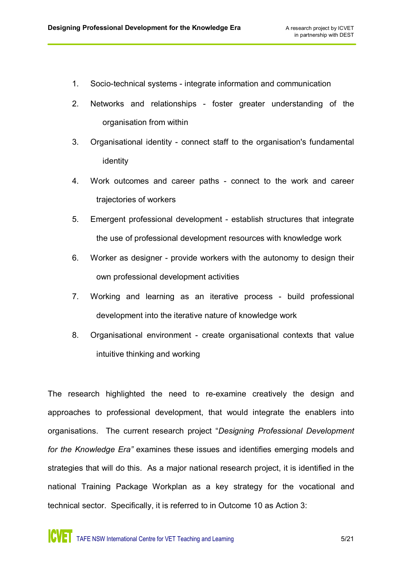- 1. Socio-technical systems integrate information and communication
- 2. Networks and relationships foster greater understanding of the organisation from within
- 3. Organisational identity connect staff to the organisation's fundamental identity
- 4. Work outcomes and career paths connect to the work and career trajectories of workers
- 5. Emergent professional development establish structures that integrate the use of professional development resources with knowledge work
- 6. Worker as designer provide workers with the autonomy to design their own professional development activities
- 7. Working and learning as an iterative process build professional development into the iterative nature of knowledge work
- 8. Organisational environment create organisational contexts that value intuitive thinking and working

The research highlighted the need to re-examine creatively the design and approaches to professional development, that would integrate the enablers into organisations. The current research project "*Designing Professional Development for the Knowledge Era"* examines these issues and identifies emerging models and strategies that will do this. As a major national research project, it is identified in the national Training Package Workplan as a key strategy for the vocational and technical sector. Specifically, it is referred to in Outcome 10 as Action 3: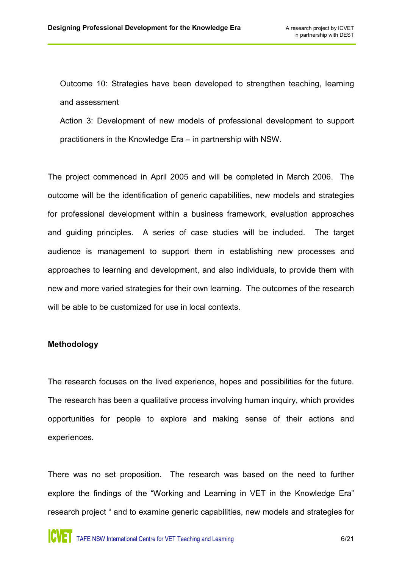Outcome 10: Strategies have been developed to strengthen teaching, learning and assessment

Action 3: Development of new models of professional development to support practitioners in the Knowledge Era – in partnership with NSW.

The project commenced in April 2005 and will be completed in March 2006. The outcome will be the identification of generic capabilities, new models and strategies for professional development within a business framework, evaluation approaches and guiding principles. A series of case studies will be included. The target audience is management to support them in establishing new processes and approaches to learning and development, and also individuals, to provide them with new and more varied strategies for their own learning. The outcomes of the research will be able to be customized for use in local contexts.

#### **Methodology**

The research focuses on the lived experience, hopes and possibilities for the future. The research has been a qualitative process involving human inquiry, which provides opportunities for people to explore and making sense of their actions and experiences.

There was no set proposition. The research was based on the need to further explore the findings of the "Working and Learning in VET in the Knowledge Era" research project " and to examine generic capabilities, new models and strategies for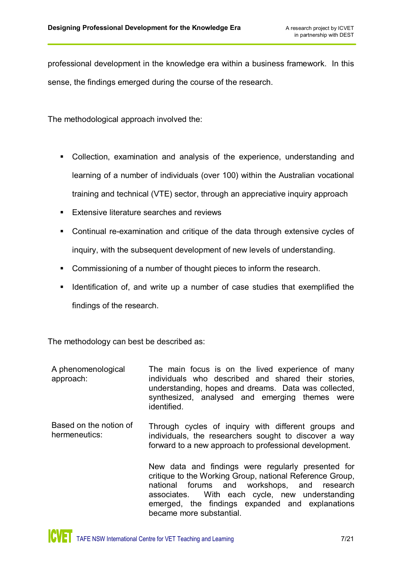professional development in the knowledge era within a business framework. In this sense, the findings emerged during the course of the research.

The methodological approach involved the:

- Collection, examination and analysis of the experience, understanding and learning of a number of individuals (over 100) within the Australian vocational training and technical (VTE) sector, through an appreciative inquiry approach
- **Extensive literature searches and reviews**
- Continual re-examination and critique of the data through extensive cycles of inquiry, with the subsequent development of new levels of understanding.
- **Commissioning of a number of thought pieces to inform the research.**
- **If Identification of, and write up a number of case studies that exemplified the** findings of the research.

The methodology can best be described as:

| A phenomenological<br>approach:         | The main focus is on the lived experience of many<br>individuals who described and shared their stories.<br>understanding, hopes and dreams. Data was collected,<br>synthesized, analysed and emerging themes were<br>identified.                                                              |
|-----------------------------------------|------------------------------------------------------------------------------------------------------------------------------------------------------------------------------------------------------------------------------------------------------------------------------------------------|
| Based on the notion of<br>hermeneutics: | Through cycles of inquiry with different groups and<br>individuals, the researchers sought to discover a way<br>forward to a new approach to professional development.                                                                                                                         |
|                                         | New data and findings were regularly presented for<br>critique to the Working Group, national Reference Group,<br>national forums and workshops, and research<br>associates. With each cycle, new understanding<br>emerged, the findings expanded and explanations<br>became more substantial. |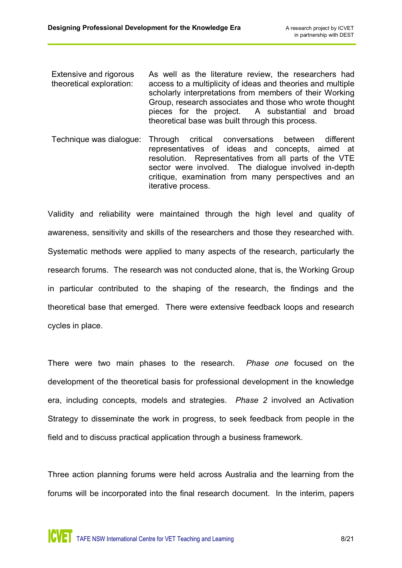- Extensive and rigorous theoretical exploration: As well as the literature review, the researchers had access to a multiplicity of ideas and theories and multiple scholarly interpretations from members of their Working Group, research associates and those who wrote thought pieces for the project. A substantial and broad theoretical base was built through this process.
- Technique was dialogue: Through critical conversations between different representatives of ideas and concepts, aimed at resolution. Representatives from all parts of the VTE sector were involved. The dialogue involved in-depth critique, examination from many perspectives and an iterative process.

Validity and reliability were maintained through the high level and quality of awareness, sensitivity and skills of the researchers and those they researched with. Systematic methods were applied to many aspects of the research, particularly the research forums. The research was not conducted alone, that is, the Working Group in particular contributed to the shaping of the research, the findings and the theoretical base that emerged. There were extensive feedback loops and research cycles in place.

There were two main phases to the research. *Phase one* focused on the development of the theoretical basis for professional development in the knowledge era, including concepts, models and strategies. *Phase 2* involved an Activation Strategy to disseminate the work in progress, to seek feedback from people in the field and to discuss practical application through a business framework.

Three action planning forums were held across Australia and the learning from the forums will be incorporated into the final research document. In the interim, papers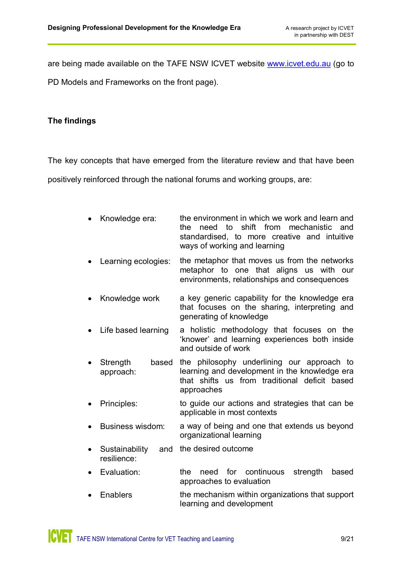are being made available on the TAFE NSW ICVET website [www.icvet.edu.au](http://www.icvet.edu.au/) (go to

PD Models and Frameworks on the front page).

# **The findings**

The key concepts that have emerged from the literature review and that have been

positively reinforced through the national forums and working groups, are:

- Knowledge era: the environment in which we work and learn and the need to shift from mechanistic and standardised, to more creative and intuitive ways of working and learning
- Learning ecologies: the metaphor that moves us from the networks metaphor to one that aligns us with our environments, relationships and consequences
- Knowledge work a key generic capability for the knowledge era that focuses on the sharing, interpreting and generating of knowledge
- · Life based learning a holistic methodology that focuses on the 'knower' and learning experiences both inside and outside of work
- Strength based approach: the philosophy underlining our approach to learning and development in the knowledge era that shifts us from traditional deficit based approaches
- Principles: to guide our actions and strategies that can be applicable in most contexts
- · Business wisdom: a way of being and one that extends us beyond organizational learning
- **Sustainability** resilience: and the desired outcome
- Evaluation: the need for continuous strength based approaches to evaluation
- Enablers **the mechanism within organizations that support** learning and development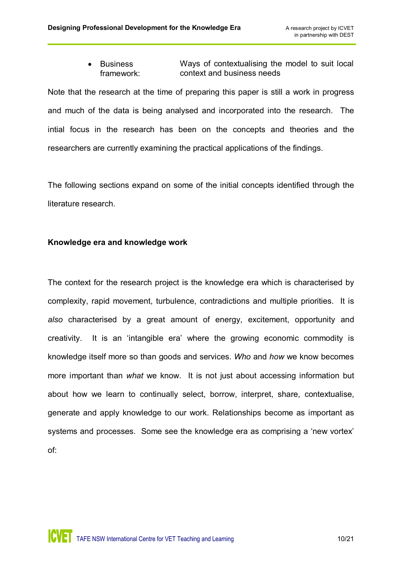· Business framework: Ways of contextualising the model to suit local context and business needs

Note that the research at the time of preparing this paper is still a work in progress and much of the data is being analysed and incorporated into the research. The intial focus in the research has been on the concepts and theories and the researchers are currently examining the practical applications of the findings.

The following sections expand on some of the initial concepts identified through the literature research.

# **Knowledge era and knowledge work**

The context for the research project is the knowledge era which is characterised by complexity, rapid movement, turbulence, contradictions and multiple priorities. It is *also* characterised by a great amount of energy, excitement, opportunity and creativity. It is an 'intangible era' where the growing economic commodity is knowledge itself more so than goods and services. *Who* and *how* we know becomes more important than *what* we know. It is not just about accessing information but about how we learn to continually select, borrow, interpret, share, contextualise, generate and apply knowledge to our work. Relationships become as important as systems and processes. Some see the knowledge era as comprising a 'new vortex' of: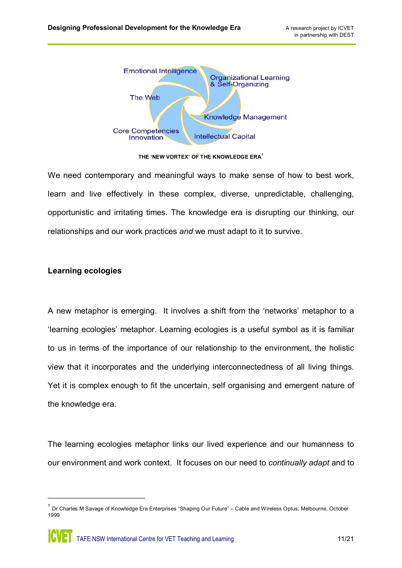

**THE 'NEW VORTEX' OF THE KNOWLEDGE ERA <sup>1</sup>**

We need contemporary and meaningful ways to make sense of how to best work, learn and live effectively in these complex, diverse, unpredictable, challenging, opportunistic and irritating times. The knowledge era is disrupting our thinking, our relationships and our work practices *and* we must adapt to it to survive.

# **Learning ecologies**

A new metaphor is emerging. It involves a shift from the 'networks' metaphor to a 'learning ecologies' metaphor. Learning ecologies is a useful symbol as it is familiar to us in terms of the importance of our relationship to the environment, the holistic view that it incorporates and the underlying interconnectedness of all living things. Yet it is complex enough to fit the uncertain, self organising and emergent nature of the knowledge era.

The learning ecologies metaphor links our lived experience and our humanness to our environment and work context. It focuses on our need to *continually adapt* and to

 $1$  Dr Charles M Savage of Knowledge Era Enterprises "Shaping Our Future" – Cable and Wireless Optus, Melbourne, October 1999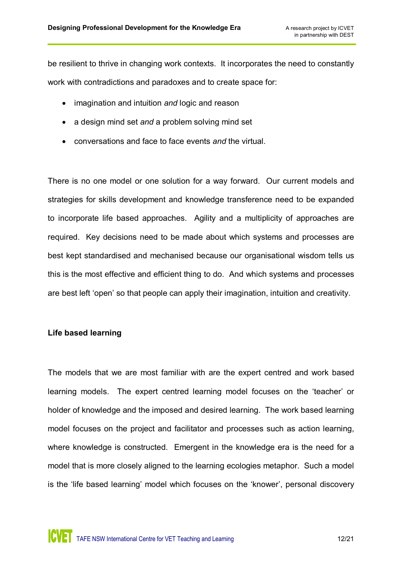be resilient to thrive in changing work contexts. It incorporates the need to constantly work with contradictions and paradoxes and to create space for:

- · imagination and intuition *and* logic and reason
- · a design mind set *and* a problem solving mind set
- · conversations and face to face events *and* the virtual.

There is no one model or one solution for a way forward. Our current models and strategies for skills development and knowledge transference need to be expanded to incorporate life based approaches. Agility and a multiplicity of approaches are required. Key decisions need to be made about which systems and processes are best kept standardised and mechanised because our organisational wisdom tells us this is the most effective and efficient thing to do. And which systems and processes are best left 'open' so that people can apply their imagination, intuition and creativity.

# **Life based learning**

The models that we are most familiar with are the expert centred and work based learning models. The expert centred learning model focuses on the 'teacher' or holder of knowledge and the imposed and desired learning. The work based learning model focuses on the project and facilitator and processes such as action learning, where knowledge is constructed. Emergent in the knowledge era is the need for a model that is more closely aligned to the learning ecologies metaphor. Such a model is the 'life based learning' model which focuses on the 'knower', personal discovery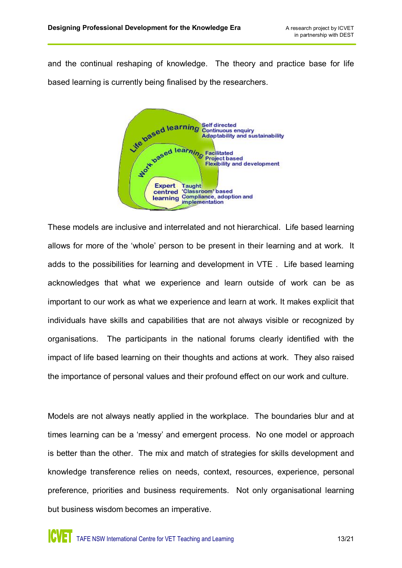and the continual reshaping of knowledge. The theory and practice base for life based learning is currently being finalised by the researchers.



These models are inclusive and interrelated and not hierarchical. Life based learning allows for more of the 'whole' person to be present in their learning and at work. It adds to the possibilities for learning and development in VTE . Life based learning acknowledges that what we experience and learn outside of work can be as important to our work as what we experience and learn at work. It makes explicit that individuals have skills and capabilities that are not always visible or recognized by organisations. The participants in the national forums clearly identified with the impact of life based learning on their thoughts and actions at work. They also raised the importance of personal values and their profound effect on our work and culture.

Models are not always neatly applied in the workplace. The boundaries blur and at times learning can be a 'messy' and emergent process. No one model or approach is better than the other. The mix and match of strategies for skills development and knowledge transference relies on needs, context, resources, experience, personal preference, priorities and business requirements. Not only organisational learning but business wisdom becomes an imperative.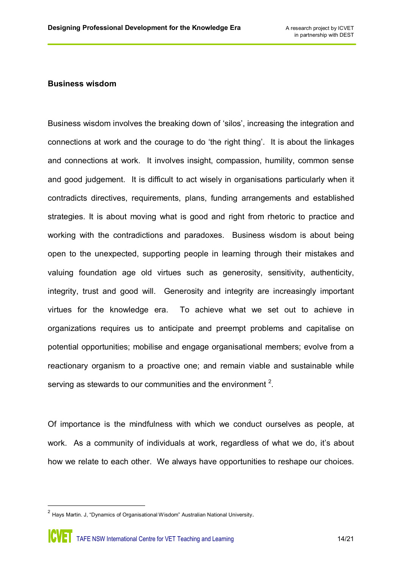#### **Business wisdom**

Business wisdom involves the breaking down of 'silos', increasing the integration and connections at work and the courage to do 'the right thing'. It is about the linkages and connections at work. It involves insight, compassion, humility, common sense and good judgement. It is difficult to act wisely in organisations particularly when it contradicts directives, requirements, plans, funding arrangements and established strategies. It is about moving what is good and right from rhetoric to practice and working with the contradictions and paradoxes. Business wisdom is about being open to the unexpected, supporting people in learning through their mistakes and valuing foundation age old virtues such as generosity, sensitivity, authenticity, integrity, trust and good will. Generosity and integrity are increasingly important virtues for the knowledge era. To achieve what we set out to achieve in organizations requires us to anticipate and preempt problems and capitalise on potential opportunities; mobilise and engage organisational members; evolve from a reactionary organism to a proactive one; and remain viable and sustainable while serving as stewards to our communities and the environment  $2$ .

Of importance is the mindfulness with which we conduct ourselves as people, at work. As a community of individuals at work, regardless of what we do, it's about how we relate to each other. We always have opportunities to reshape our choices.

 $2$  Hays Martin. J, "Dynamics of Organisational Wisdom" Australian National University.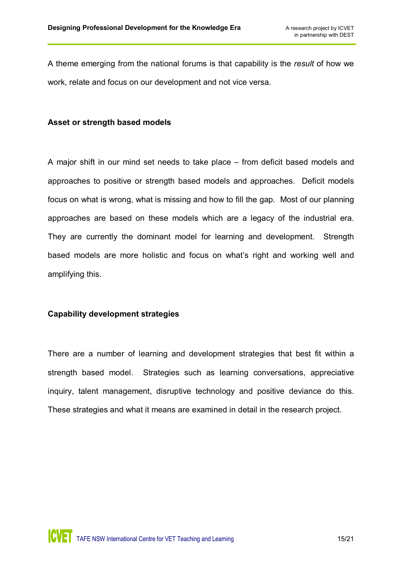A theme emerging from the national forums is that capability is the *result* of how we work, relate and focus on our development and not vice versa.

#### **Asset or strength based models**

A major shift in our mind set needs to take place – from deficit based models and approaches to positive or strength based models and approaches. Deficit models focus on what is wrong, what is missing and how to fill the gap. Most of our planning approaches are based on these models which are a legacy of the industrial era. They are currently the dominant model for learning and development. Strength based models are more holistic and focus on what's right and working well and amplifying this.

# **Capability development strategies**

There are a number of learning and development strategies that best fit within a strength based model. Strategies such as learning conversations, appreciative inquiry, talent management, disruptive technology and positive deviance do this. These strategies and what it means are examined in detail in the research project.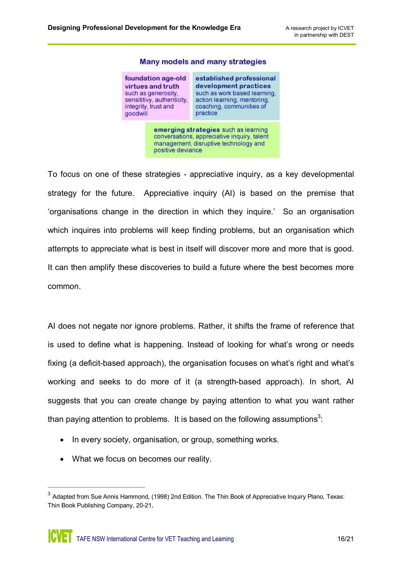

#### Many models and many strategies

To focus on one of these strategies appreciative inquiry, as a key developmental strategy for the future. Appreciative inquiry (AI) is based on the premise that 'organisations change in the direction in which they inquire.' So an organisation which inquires into problems will keep finding problems, but an organisation which attempts to appreciate what is best in itself will discover more and more that is good. It can then amplify these discoveries to build a future where the best becomes more common.

AI does not negate nor ignore problems. Rather, it shifts the frame of reference that is used to define what is happening. Instead of looking for what's wrong or needs fixing (a deficit-based approach), the organisation focuses on what's right and what's working and seeks to do more of it (a strength-based approach). In short, AI suggests that you can create change by paying attention to what you want rather than paying attention to problems. It is based on the following assumptions<sup>3</sup>:

- In every society, organisation, or group, something works.
- · What we focus on becomes our reality.

 $3$  Adapted from Sue Annis Hammond, (1998) 2nd Edition. The Thin Book of Appreciative Inquiry Plano, Texas: Thin Book Publishing Company, 20-21.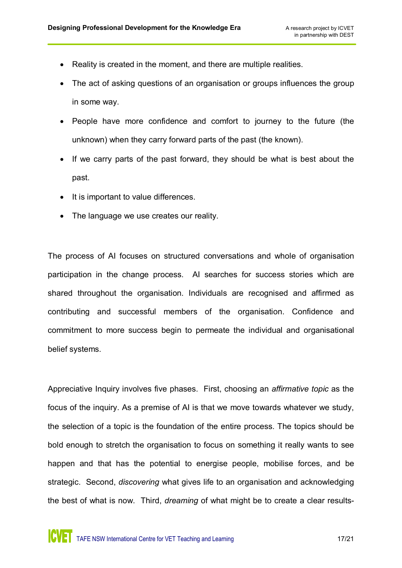- · Reality is created in the moment, and there are multiple realities.
- The act of asking questions of an organisation or groups influences the group in some way.
- · People have more confidence and comfort to journey to the future (the unknown) when they carry forward parts of the past (the known).
- If we carry parts of the past forward, they should be what is best about the past.
- · It is important to value differences.
- The language we use creates our reality.

The process of AI focuses on structured conversations and whole of organisation participation in the change process. AI searches for success stories which are shared throughout the organisation. Individuals are recognised and affirmed as contributing and successful members of the organisation. Confidence and commitment to more success begin to permeate the individual and organisational belief systems.

Appreciative Inquiry involves five phases. First, choosing an *affirmative topic* as the focus of the inquiry. As a premise of AI is that we move towards whatever we study, the selection of a topic is the foundation of the entire process. The topics should be bold enough to stretch the organisation to focus on something it really wants to see happen and that has the potential to energise people, mobilise forces, and be strategic. Second, *discovering* what gives life to an organisation and acknowledging the best of what is now. Third, *dreaming* of what might be to create a clear results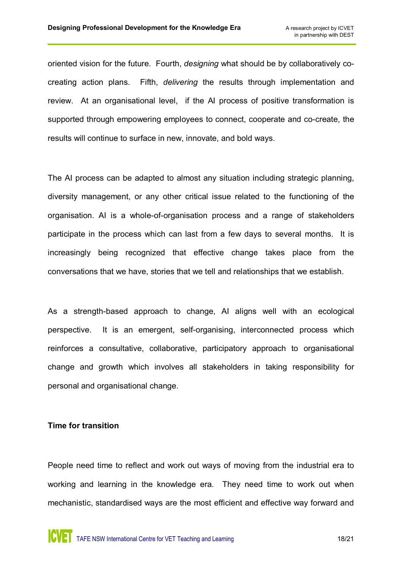oriented vision for the future. Fourth, *designing* what should be by collaboratively cocreating action plans. Fifth, *delivering* the results through implementation and review. At an organisational level, if the AI process of positive transformation is supported through empowering employees to connect, cooperate and co-create, the results will continue to surface in new, innovate, and bold ways.

The AI process can be adapted to almost any situation including strategic planning, diversity management, or any other critical issue related to the functioning of the organisation. Al is a whole-of-organisation process and a range of stakeholders participate in the process which can last from a few days to several months. It is increasingly being recognized that effective change takes place from the conversations that we have, stories that we tell and relationships that we establish.

As a strength-based approach to change, AI aligns well with an ecological perspective. It is an emergent, self-organising, interconnected process which reinforces a consultative, collaborative, participatory approach to organisational change and growth which involves all stakeholders in taking responsibility for personal and organisational change.

#### **Time for transition**

People need time to reflect and work out ways of moving from the industrial era to working and learning in the knowledge era. They need time to work out when mechanistic, standardised ways are the most efficient and effective way forward and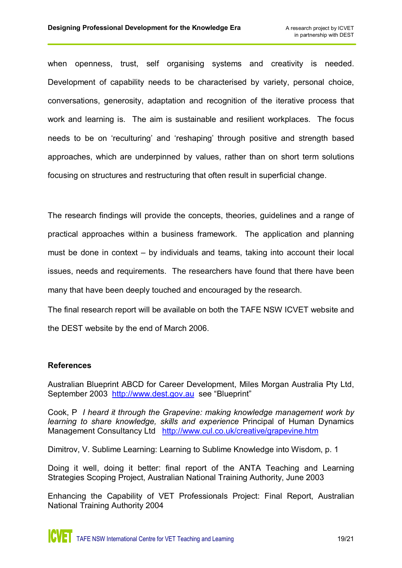when openness, trust, self organising systems and creativity is needed. Development of capability needs to be characterised by variety, personal choice, conversations, generosity, adaptation and recognition of the iterative process that work and learning is. The aim is sustainable and resilient workplaces. The focus needs to be on 'reculturing' and 'reshaping' through positive and strength based approaches, which are underpinned by values, rather than on short term solutions focusing on structures and restructuring that often result in superficial change.

The research findings will provide the concepts, theories, guidelines and a range of practical approaches within a business framework. The application and planning must be done in context – by individuals and teams, taking into account their local issues, needs and requirements. The researchers have found that there have been many that have been deeply touched and encouraged by the research.

The final research report will be available on both the TAFE NSW ICVET website and the DEST website by the end of March 2006.

# **References**

Australian Blueprint ABCD for Career Development, Miles Morgan Australia Pty Ltd, September 2003 [http://www.dest.gov.au](http://www.dest.gov.au/) see "Blueprint"

Cook, P *I heard it through the Grapevine: making knowledge management work by learning to share knowledge, skills and experience* Principal of Human Dynamics Management Consultancy Ltd <http://www.cul.co.uk/creative/grapevine.htm>

Dimitrov, V. Sublime Learning: Learning to Sublime Knowledge into Wisdom, p. 1

Doing it well, doing it better: final report of the ANTA Teaching and Learning Strategies Scoping Project, Australian National Training Authority, June 2003

Enhancing the Capability of VET Professionals Project: Final Report, Australian National Training Authority 2004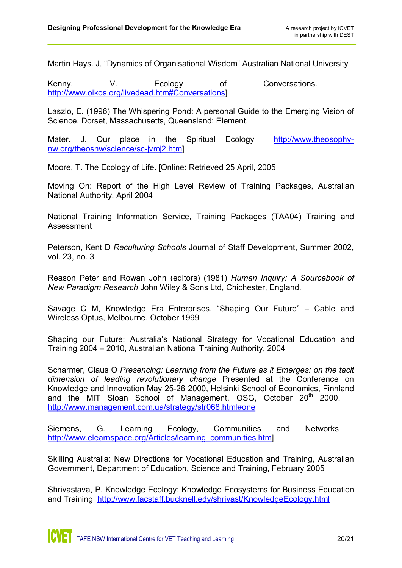Martin Hays. J, "Dynamics of Organisational Wisdom" Australian National University

Kenny, V. Ecology of Conversations. [http://www.oikos.org/livedead.htm#Conversations\]](http://www.oikos.org/livedead.htm)

Laszlo, E. (1996) The Whispering Pond: A personal Guide to the Emerging Vision of Science. Dorset, Massachusetts, Queensland: Element.

Mater. J. Our place in the Spiritual Ecology http://www.theosophynw.org/theosnw/science/sc-jvmj2.htm]

Moore, T. The Ecology of Life. [Online: Retrieved 25 April, 2005

Moving On: Report of the High Level Review of Training Packages, Australian National Authority, April 2004

National Training Information Service, Training Packages (TAA04) Training and Assessment

Peterson, Kent D *Reculturing Schools* Journal of Staff Development, Summer 2002, vol. 23, no. 3

Reason Peter and Rowan John (editors) (1981) *Human Inquiry: A Sourcebook of New Paradigm Research* John Wiley & Sons Ltd, Chichester, England.

Savage C M, Knowledge Era Enterprises, "Shaping Our Future" – Cable and Wireless Optus, Melbourne, October 1999

Shaping our Future: Australia's National Strategy for Vocational Education and Training 2004 – 2010, Australian National Training Authority, 2004

Scharmer, Claus O *Presencing: Learning from the Future as it Emerges: on the tacit dimension of leading revolutionary change* Presented at the Conference on Knowledge and Innovation May 25-26 2000, Helsinki School of Economics, Finnland and the MIT Sloan School of Management, OSG, October 20<sup>th</sup> 2000. [http://www.management.com.ua/strategy/str068.html#one](http://www.management.com.ua/strategy/str068.html)

Siemens, G. Learning Ecology, Communities and Networks [http://www.elearnspace.org/Articles/learning\\_communities.htm](http://www.elearnspace.org/Articles/learning_communities.htm)]

Skilling Australia: New Directions for Vocational Education and Training, Australian Government, Department of Education, Science and Training, February 2005

Shrivastava, P. Knowledge Ecology: Knowledge Ecosystems for Business Education and Training <http://www.facstaff.bucknell.edy/shrivast/KnowledgeEcology.html>

**ICVET** TAFE NSW International Centre for VET Teaching and Learning 20/21